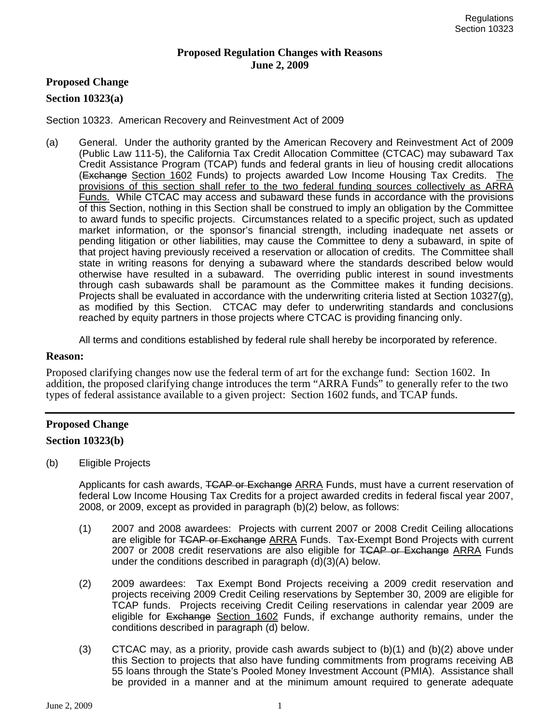#### **Proposed Regulation Changes with Reasons June 2, 2009**

## **Proposed Change**

#### **Section 10323(a)**

Section 10323. American Recovery and Reinvestment Act of 2009

(a) General. Under the authority granted by the American Recovery and Reinvestment Act of 2009 (Public Law 111-5), the California Tax Credit Allocation Committee (CTCAC) may subaward Tax Credit Assistance Program (TCAP) funds and federal grants in lieu of housing credit allocations (Exchange Section 1602 Funds) to projects awarded Low Income Housing Tax Credits. The provisions of this section shall refer to the two federal funding sources collectively as ARRA Funds. While CTCAC may access and subaward these funds in accordance with the provisions of this Section, nothing in this Section shall be construed to imply an obligation by the Committee to award funds to specific projects. Circumstances related to a specific project, such as updated market information, or the sponsor's financial strength, including inadequate net assets or pending litigation or other liabilities, may cause the Committee to deny a subaward, in spite of that project having previously received a reservation or allocation of credits. The Committee shall state in writing reasons for denying a subaward where the standards described below would otherwise have resulted in a subaward. The overriding public interest in sound investments through cash subawards shall be paramount as the Committee makes it funding decisions. Projects shall be evaluated in accordance with the underwriting criteria listed at Section 10327(g), as modified by this Section. CTCAC may defer to underwriting standards and conclusions reached by equity partners in those projects where CTCAC is providing financing only.

All terms and conditions established by federal rule shall hereby be incorporated by reference.

#### **Reason:**

Proposed clarifying changes now use the federal term of art for the exchange fund: Section 1602. In addition, the proposed clarifying change introduces the term "ARRA Funds" to generally refer to the two types of federal assistance available to a given project: Section 1602 funds, and TCAP funds.

## **Proposed Change**

#### **Section 10323(b)**

(b) Eligible Projects

Applicants for cash awards, TCAP or Exchange ARRA Funds, must have a current reservation of federal Low Income Housing Tax Credits for a project awarded credits in federal fiscal year 2007, 2008, or 2009, except as provided in paragraph (b)(2) below, as follows:

- (1) 2007 and 2008 awardees: Projects with current 2007 or 2008 Credit Ceiling allocations are eligible for TCAP or Exchange ARRA Funds. Tax-Exempt Bond Projects with current 2007 or 2008 credit reservations are also eligible for TCAP or Exchange ARRA Funds under the conditions described in paragraph (d)(3)(A) below.
- (2) 2009 awardees: Tax Exempt Bond Projects receiving a 2009 credit reservation and projects receiving 2009 Credit Ceiling reservations by September 30, 2009 are eligible for TCAP funds. Projects receiving Credit Ceiling reservations in calendar year 2009 are eligible for Exchange Section 1602 Funds, if exchange authority remains, under the conditions described in paragraph (d) below.
- (3) CTCAC may, as a priority, provide cash awards subject to  $(b)(1)$  and  $(b)(2)$  above under this Section to projects that also have funding commitments from programs receiving AB 55 loans through the State's Pooled Money Investment Account (PMIA). Assistance shall be provided in a manner and at the minimum amount required to generate adequate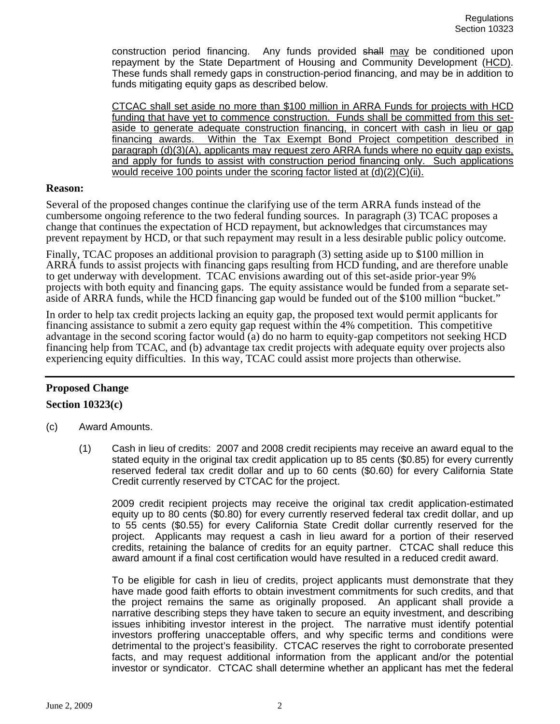construction period financing. Any funds provided shall may be conditioned upon repayment by the State Department of Housing and Community Development (HCD). These funds shall remedy gaps in construction-period financing, and may be in addition to funds mitigating equity gaps as described below.

CTCAC shall set aside no more than \$100 million in ARRA Funds for projects with HCD funding that have yet to commence construction. Funds shall be committed from this setaside to generate adequate construction financing, in concert with cash in lieu or gap financing awards. Within the Tax Exempt Bond Project competition described in paragraph (d)(3)(A), applicants may request zero ARRA funds where no equity gap exists, and apply for funds to assist with construction period financing only. Such applications would receive 100 points under the scoring factor listed at (d)(2)(C)(ii).

#### **Reason:**

Several of the proposed changes continue the clarifying use of the term ARRA funds instead of the cumbersome ongoing reference to the two federal funding sources. In paragraph (3) TCAC proposes a change that continues the expectation of HCD repayment, but acknowledges that circumstances may prevent repayment by HCD, or that such repayment may result in a less desirable public policy outcome.

Finally, TCAC proposes an additional provision to paragraph (3) setting aside up to \$100 million in ARRA funds to assist projects with financing gaps resulting from HCD funding, and are therefore unable to get underway with development. TCAC envisions awarding out of this set-aside prior-year 9% projects with both equity and financing gaps. The equity assistance would be funded from a separate setaside of ARRA funds, while the HCD financing gap would be funded out of the \$100 million "bucket."

In order to help tax credit projects lacking an equity gap, the proposed text would permit applicants for financing assistance to submit a zero equity gap request within the 4% competition. This competitive advantage in the second scoring factor would (a) do no harm to equity-gap competitors not seeking HCD financing help from TCAC, and (b) advantage tax credit projects with adequate equity over projects also experiencing equity difficulties. In this way, TCAC could assist more projects than otherwise.

# **Proposed Change**

## **Section 10323(c)**

- (c) Award Amounts.
	- (1) Cash in lieu of credits: 2007 and 2008 credit recipients may receive an award equal to the stated equity in the original tax credit application up to 85 cents (\$0.85) for every currently reserved federal tax credit dollar and up to 60 cents (\$0.60) for every California State Credit currently reserved by CTCAC for the project.

2009 credit recipient projects may receive the original tax credit application-estimated equity up to 80 cents (\$0.80) for every currently reserved federal tax credit dollar, and up to 55 cents (\$0.55) for every California State Credit dollar currently reserved for the project. Applicants may request a cash in lieu award for a portion of their reserved credits, retaining the balance of credits for an equity partner. CTCAC shall reduce this award amount if a final cost certification would have resulted in a reduced credit award.

To be eligible for cash in lieu of credits, project applicants must demonstrate that they have made good faith efforts to obtain investment commitments for such credits, and that the project remains the same as originally proposed. An applicant shall provide a narrative describing steps they have taken to secure an equity investment, and describing issues inhibiting investor interest in the project. The narrative must identify potential investors proffering unacceptable offers, and why specific terms and conditions were detrimental to the project's feasibility. CTCAC reserves the right to corroborate presented facts, and may request additional information from the applicant and/or the potential investor or syndicator. CTCAC shall determine whether an applicant has met the federal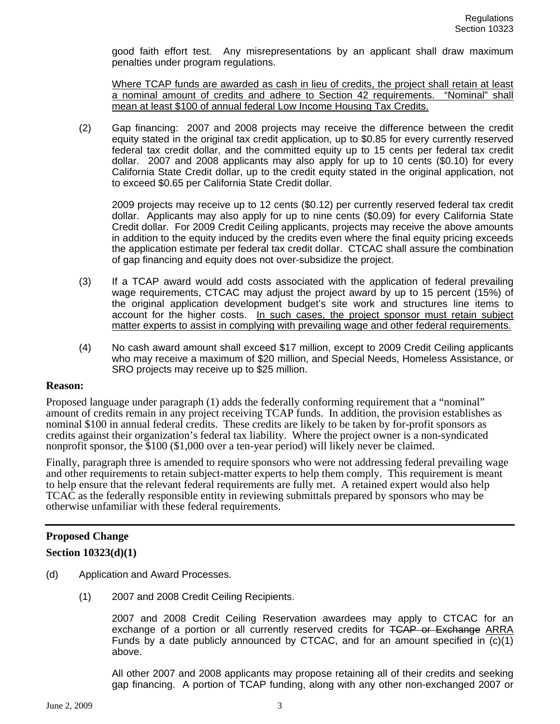good faith effort test. Any misrepresentations by an applicant shall draw maximum penalties under program regulations.

Where TCAP funds are awarded as cash in lieu of credits, the project shall retain at least a nominal amount of credits and adhere to Section 42 requirements. "Nominal" shall mean at least \$100 of annual federal Low Income Housing Tax Credits.

(2) Gap financing: 2007 and 2008 projects may receive the difference between the credit equity stated in the original tax credit application, up to \$0.85 for every currently reserved federal tax credit dollar, and the committed equity up to 15 cents per federal tax credit dollar. 2007 and 2008 applicants may also apply for up to 10 cents (\$0.10) for every California State Credit dollar, up to the credit equity stated in the original application, not to exceed \$0.65 per California State Credit dollar.

2009 projects may receive up to 12 cents (\$0.12) per currently reserved federal tax credit dollar. Applicants may also apply for up to nine cents (\$0.09) for every California State Credit dollar. For 2009 Credit Ceiling applicants, projects may receive the above amounts in addition to the equity induced by the credits even where the final equity pricing exceeds the application estimate per federal tax credit dollar. CTCAC shall assure the combination of gap financing and equity does not over-subsidize the project.

- (3) If a TCAP award would add costs associated with the application of federal prevailing wage requirements, CTCAC may adjust the project award by up to 15 percent (15%) of the original application development budget's site work and structures line items to account for the higher costs. In such cases, the project sponsor must retain subject matter experts to assist in complying with prevailing wage and other federal requirements.
- (4) No cash award amount shall exceed \$17 million, except to 2009 Credit Ceiling applicants who may receive a maximum of \$20 million, and Special Needs, Homeless Assistance, or SRO projects may receive up to \$25 million.

## **Reason:**

Proposed language under paragraph (1) adds the federally conforming requirement that a "nominal" amount of credits remain in any project receiving TCAP funds. In addition, the provision establishes as nominal \$100 in annual federal credits. These credits are likely to be taken by for-profit sponsors as credits against their organization's federal tax liability. Where the project owner is a non-syndicated nonprofit sponsor, the \$100 (\$1,000 over a ten-year period) will likely never be claimed.

Finally, paragraph three is amended to require sponsors who were not addressing federal prevailing wage and other requirements to retain subject-matter experts to help them comply. This requirement is meant to help ensure that the relevant federal requirements are fully met. A retained expert would also help TCAC as the federally responsible entity in reviewing submittals prepared by sponsors who may be otherwise unfamiliar with these federal requirements.

# **Proposed Change**

## **Section 10323(d)(1)**

- (d) Application and Award Processes.
	- (1) 2007 and 2008 Credit Ceiling Recipients.

2007 and 2008 Credit Ceiling Reservation awardees may apply to CTCAC for an exchange of a portion or all currently reserved credits for TCAP or Exchange ARRA Funds by a date publicly announced by CTCAC, and for an amount specified in (c)(1) above.

All other 2007 and 2008 applicants may propose retaining all of their credits and seeking gap financing. A portion of TCAP funding, along with any other non-exchanged 2007 or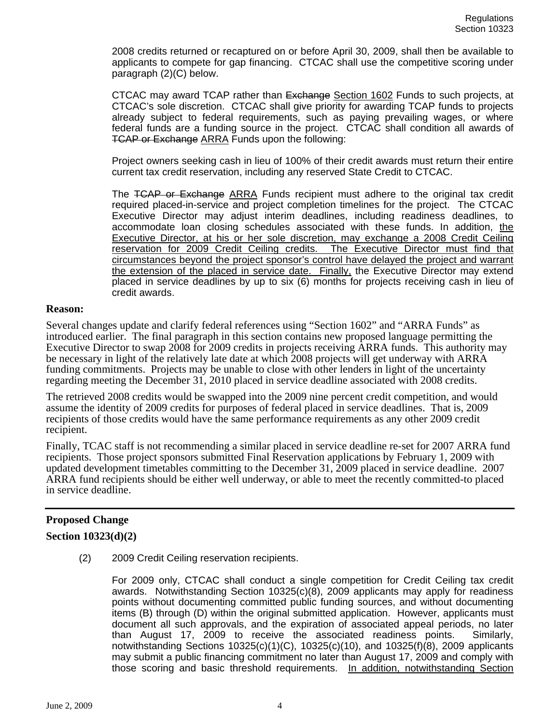2008 credits returned or recaptured on or before April 30, 2009, shall then be available to applicants to compete for gap financing. CTCAC shall use the competitive scoring under paragraph (2)(C) below.

CTCAC may award TCAP rather than Exchange Section 1602 Funds to such projects, at CTCAC's sole discretion. CTCAC shall give priority for awarding TCAP funds to projects already subject to federal requirements, such as paying prevailing wages, or where federal funds are a funding source in the project. CTCAC shall condition all awards of TCAP or Exchange ARRA Funds upon the following:

Project owners seeking cash in lieu of 100% of their credit awards must return their entire current tax credit reservation, including any reserved State Credit to CTCAC.

The TCAP or Exchange ARRA Funds recipient must adhere to the original tax credit required placed-in-service and project completion timelines for the project. The CTCAC Executive Director may adjust interim deadlines, including readiness deadlines, to accommodate loan closing schedules associated with these funds. In addition, the Executive Director, at his or her sole discretion, may exchange a 2008 Credit Ceiling reservation for 2009 Credit Ceiling credits. The Executive Director must find that circumstances beyond the project sponsor's control have delayed the project and warrant the extension of the placed in service date. Finally, the Executive Director may extend placed in service deadlines by up to six (6) months for projects receiving cash in lieu of credit awards.

#### **Reason:**

Several changes update and clarify federal references using "Section 1602" and "ARRA Funds" as introduced earlier. The final paragraph in this section contains new proposed language permitting the Executive Director to swap 2008 for 2009 credits in projects receiving ARRA funds. This authority may be necessary in light of the relatively late date at which 2008 projects will get underway with ARRA funding commitments. Projects may be unable to close with other lenders in light of the uncertainty regarding meeting the December 31, 2010 placed in service deadline associated with 2008 credits.

The retrieved 2008 credits would be swapped into the 2009 nine percent credit competition, and would assume the identity of 2009 credits for purposes of federal placed in service deadlines. That is, 2009 recipients of those credits would have the same performance requirements as any other 2009 credit recipient.

Finally, TCAC staff is not recommending a similar placed in service deadline re-set for 2007 ARRA fund recipients. Those project sponsors submitted Final Reservation applications by February 1, 2009 with updated development timetables committing to the December 31, 2009 placed in service deadline. 2007 ARRA fund recipients should be either well underway, or able to meet the recently committed-to placed in service deadline.

# **Proposed Change**

## **Section 10323(d)(2)**

(2) 2009 Credit Ceiling reservation recipients.

For 2009 only, CTCAC shall conduct a single competition for Credit Ceiling tax credit awards. Notwithstanding Section 10325(c)(8), 2009 applicants may apply for readiness points without documenting committed public funding sources, and without documenting items (B) through (D) within the original submitted application. However, applicants must document all such approvals, and the expiration of associated appeal periods, no later than August 17, 2009 to receive the associated readiness points. Similarly, notwithstanding Sections 10325(c)(1)(C), 10325(c)(10), and 10325(f)(8), 2009 applicants may submit a public financing commitment no later than August 17, 2009 and comply with those scoring and basic threshold requirements. In addition, notwithstanding Section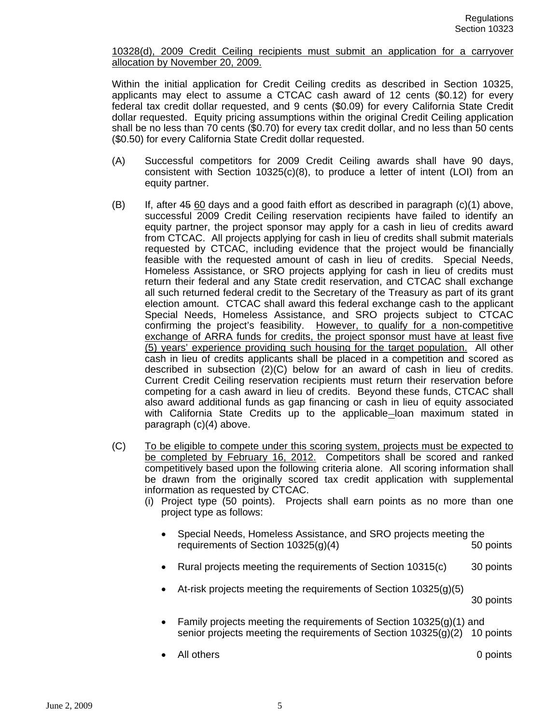#### 10328(d), 2009 Credit Ceiling recipients must submit an application for a carryover allocation by November 20, 2009.

Within the initial application for Credit Ceiling credits as described in Section 10325, applicants may elect to assume a CTCAC cash award of 12 cents (\$0.12) for every federal tax credit dollar requested, and 9 cents (\$0.09) for every California State Credit dollar requested. Equity pricing assumptions within the original Credit Ceiling application shall be no less than 70 cents (\$0.70) for every tax credit dollar, and no less than 50 cents (\$0.50) for every California State Credit dollar requested.

- (A) Successful competitors for 2009 Credit Ceiling awards shall have 90 days, consistent with Section 10325(c)(8), to produce a letter of intent (LOI) from an equity partner.
- (B) If, after 45 60 days and a good faith effort as described in paragraph (c)(1) above, successful 2009 Credit Ceiling reservation recipients have failed to identify an equity partner, the project sponsor may apply for a cash in lieu of credits award from CTCAC. All projects applying for cash in lieu of credits shall submit materials requested by CTCAC, including evidence that the project would be financially feasible with the requested amount of cash in lieu of credits. Special Needs, Homeless Assistance, or SRO projects applying for cash in lieu of credits must return their federal and any State credit reservation, and CTCAC shall exchange all such returned federal credit to the Secretary of the Treasury as part of its grant election amount. CTCAC shall award this federal exchange cash to the applicant Special Needs, Homeless Assistance, and SRO projects subject to CTCAC confirming the project's feasibility. However, to qualify for a non-competitive exchange of ARRA funds for credits, the project sponsor must have at least five (5) years' experience providing such housing for the target population. All other cash in lieu of credits applicants shall be placed in a competition and scored as described in subsection (2)(C) below for an award of cash in lieu of credits. Current Credit Ceiling reservation recipients must return their reservation before competing for a cash award in lieu of credits. Beyond these funds, CTCAC shall also award additional funds as gap financing or cash in lieu of equity associated with California State Credits up to the applicable—loan maximum stated in paragraph (c)(4) above.
- (C) To be eligible to compete under this scoring system, projects must be expected to be completed by February 16, 2012. Competitors shall be scored and ranked competitively based upon the following criteria alone. All scoring information shall be drawn from the originally scored tax credit application with supplemental information as requested by CTCAC.
	- (i) Project type (50 points). Projects shall earn points as no more than one project type as follows:
		- Special Needs, Homeless Assistance, and SRO projects meeting the requirements of Section 10325(g)(4) 50 points
		- Rural projects meeting the requirements of Section 10315(c) 30 points
		- At-risk projects meeting the requirements of Section 10325(g)(5)

30 points

- Family projects meeting the requirements of Section  $10325(q)(1)$  and senior projects meeting the requirements of Section 10325(g)(2) 10 points
	- All others 0 points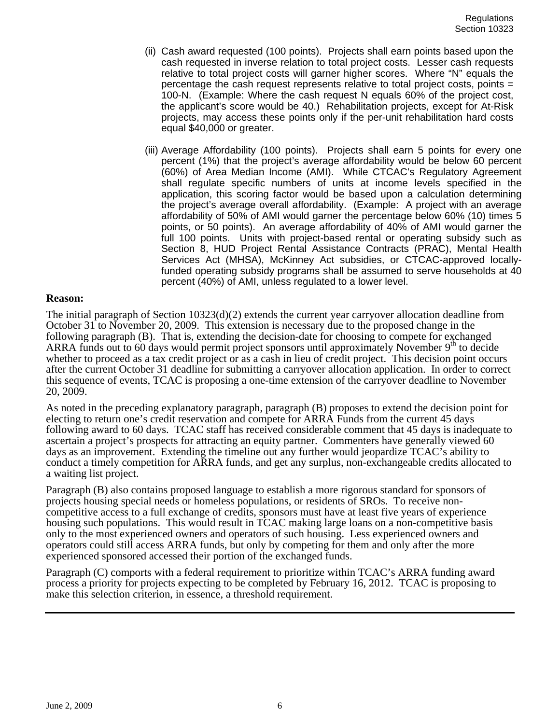- (ii) Cash award requested (100 points). Projects shall earn points based upon the cash requested in inverse relation to total project costs. Lesser cash requests relative to total project costs will garner higher scores. Where "N" equals the percentage the cash request represents relative to total project costs, points = 100-N. (Example: Where the cash request N equals 60% of the project cost, the applicant's score would be 40.) Rehabilitation projects, except for At-Risk projects, may access these points only if the per-unit rehabilitation hard costs equal \$40,000 or greater.
- (iii) Average Affordability (100 points). Projects shall earn 5 points for every one percent (1%) that the project's average affordability would be below 60 percent (60%) of Area Median Income (AMI). While CTCAC's Regulatory Agreement shall regulate specific numbers of units at income levels specified in the application, this scoring factor would be based upon a calculation determining the project's average overall affordability. (Example: A project with an average affordability of 50% of AMI would garner the percentage below 60% (10) times 5 points, or 50 points). An average affordability of 40% of AMI would garner the full 100 points. Units with project-based rental or operating subsidy such as Section 8, HUD Project Rental Assistance Contracts (PRAC), Mental Health Services Act (MHSA), McKinney Act subsidies, or CTCAC-approved locallyfunded operating subsidy programs shall be assumed to serve households at 40 percent (40%) of AMI, unless regulated to a lower level.

#### **Reason:**

The initial paragraph of Section  $10323(d)(2)$  extends the current year carryover allocation deadline from October 31 to November 20, 2009. This extension is necessary due to the proposed change in the following paragraph (B). That is, extending the decision-date for choosing to compete for exchanged ARRA funds out to 60 days would permit project sponsors until approximately November  $9<sup>th</sup>$  to decide whether to proceed as a tax credit project or as a cash in lieu of credit project. This decision point occurs after the current October 31 deadline for submitting a carryover allocation application. In order to correct this sequence of events, TCAC is proposing a one-time extension of the carryover deadline to November 20, 2009.

As noted in the preceding explanatory paragraph, paragraph (B) proposes to extend the decision point for electing to return one's credit reservation and compete for ARRA Funds from the current 45 days following award to 60 days. TCAC staff has received considerable comment that 45 days is inadequate to ascertain a project's prospects for attracting an equity partner. Commenters have generally viewed 60 days as an improvement. Extending the timeline out any further would jeopardize TCAC's ability to conduct a timely competition for ARRA funds, and get any surplus, non-exchangeable credits allocated to a waiting list project.

Paragraph (B) also contains proposed language to establish a more rigorous standard for sponsors of projects housing special needs or homeless populations, or residents of SROs. To receive noncompetitive access to a full exchange of credits, sponsors must have at least five years of experience housing such populations. This would result in TCAC making large loans on a non-competitive basis only to the most experienced owners and operators of such housing. Less experienced owners and operators could still access ARRA funds, but only by competing for them and only after the more experienced sponsored accessed their portion of the exchanged funds.

Paragraph (C) comports with a federal requirement to prioritize within TCAC's ARRA funding award process a priority for projects expecting to be completed by February 16, 2012. TCAC is proposing to make this selection criterion, in essence, a threshold requirement.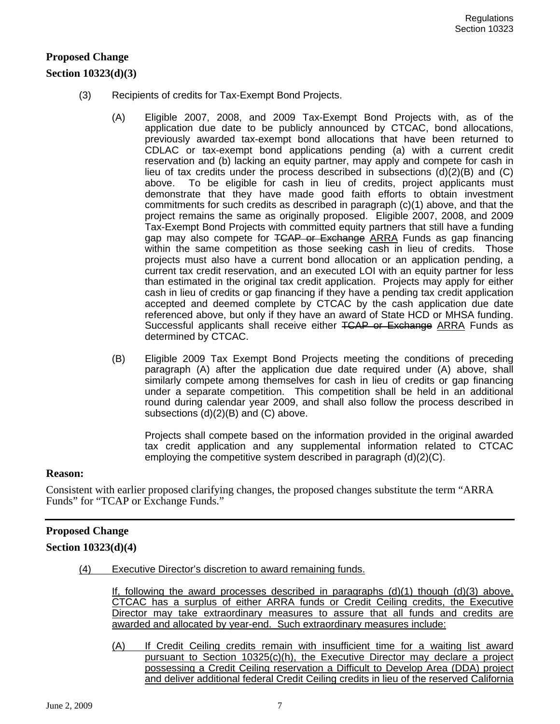# **Proposed Change**

## **Section 10323(d)(3)**

- (3) Recipients of credits for Tax-Exempt Bond Projects.
	- (A) Eligible 2007, 2008, and 2009 Tax-Exempt Bond Projects with, as of the application due date to be publicly announced by CTCAC, bond allocations, previously awarded tax-exempt bond allocations that have been returned to CDLAC or tax-exempt bond applications pending (a) with a current credit reservation and (b) lacking an equity partner, may apply and compete for cash in lieu of tax credits under the process described in subsections  $(d)(2)(B)$  and  $(C)$ above. To be eligible for cash in lieu of credits, project applicants must demonstrate that they have made good faith efforts to obtain investment commitments for such credits as described in paragraph (c)(1) above, and that the project remains the same as originally proposed. Eligible 2007, 2008, and 2009 Tax-Exempt Bond Projects with committed equity partners that still have a funding gap may also compete for TCAP or Exchange ARRA Funds as gap financing within the same competition as those seeking cash in lieu of credits. Those projects must also have a current bond allocation or an application pending, a current tax credit reservation, and an executed LOI with an equity partner for less than estimated in the original tax credit application. Projects may apply for either cash in lieu of credits or gap financing if they have a pending tax credit application accepted and deemed complete by CTCAC by the cash application due date referenced above, but only if they have an award of State HCD or MHSA funding. Successful applicants shall receive either TCAP or Exchange ARRA Funds as determined by CTCAC.
	- (B) Eligible 2009 Tax Exempt Bond Projects meeting the conditions of preceding paragraph (A) after the application due date required under (A) above, shall similarly compete among themselves for cash in lieu of credits or gap financing under a separate competition. This competition shall be held in an additional round during calendar year 2009, and shall also follow the process described in subsections (d)(2)(B) and (C) above.

Projects shall compete based on the information provided in the original awarded tax credit application and any supplemental information related to CTCAC employing the competitive system described in paragraph (d)(2)(C).

#### **Reason:**

Consistent with earlier proposed clarifying changes, the proposed changes substitute the term "ARRA Funds" for "TCAP or Exchange Funds."

## **Proposed Change**

## **Section 10323(d)(4)**

(4) Executive Director's discretion to award remaining funds.

If, following the award processes described in paragraphs  $(d)(1)$  though  $(d)(3)$  above, CTCAC has a surplus of either ARRA funds or Credit Ceiling credits, the Executive Director may take extraordinary measures to assure that all funds and credits are awarded and allocated by year-end. Such extraordinary measures include:

(A) If Credit Ceiling credits remain with insufficient time for a waiting list award pursuant to Section 10325(c)(h), the Executive Director may declare a project possessing a Credit Ceiling reservation a Difficult to Develop Area (DDA) project and deliver additional federal Credit Ceiling credits in lieu of the reserved California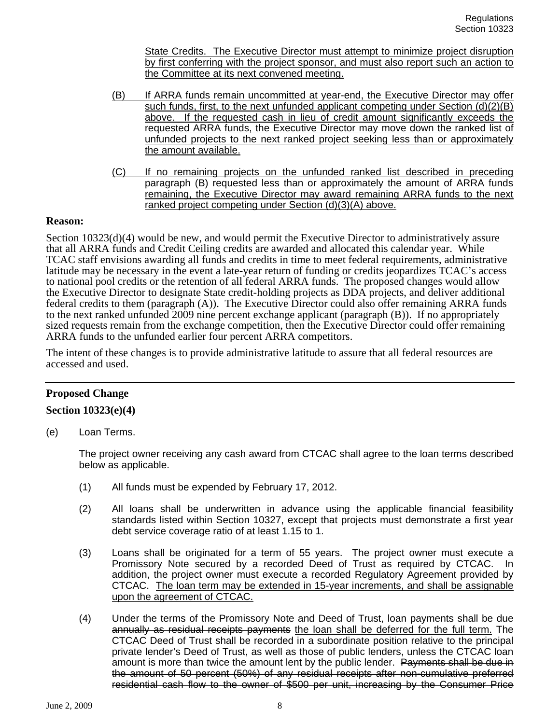State Credits. The Executive Director must attempt to minimize project disruption by first conferring with the project sponsor, and must also report such an action to the Committee at its next convened meeting.

- (B) If ARRA funds remain uncommitted at year-end, the Executive Director may offer such funds, first, to the next unfunded applicant competing under Section  $(d)(2)(B)$ above. If the requested cash in lieu of credit amount significantly exceeds the requested ARRA funds, the Executive Director may move down the ranked list of unfunded projects to the next ranked project seeking less than or approximately the amount available.
- (C) If no remaining projects on the unfunded ranked list described in preceding paragraph (B) requested less than or approximately the amount of ARRA funds remaining, the Executive Director may award remaining ARRA funds to the next ranked project competing under Section (d)(3)(A) above.

#### **Reason:**

Section 10323(d)(4) would be new, and would permit the Executive Director to administratively assure that all ARRA funds and Credit Ceiling credits are awarded and allocated this calendar year. While TCAC staff envisions awarding all funds and credits in time to meet federal requirements, administrative latitude may be necessary in the event a late-year return of funding or credits jeopardizes TCAC's access to national pool credits or the retention of all federal ARRA funds. The proposed changes would allow the Executive Director to designate State credit-holding projects as DDA projects, and deliver additional federal credits to them (paragraph (A)). The Executive Director could also offer remaining ARRA funds to the next ranked unfunded 2009 nine percent exchange applicant (paragraph (B)). If no appropriately sized requests remain from the exchange competition, then the Executive Director could offer remaining ARRA funds to the unfunded earlier four percent ARRA competitors.

The intent of these changes is to provide administrative latitude to assure that all federal resources are accessed and used.

## **Proposed Change**

#### **Section 10323(e)(4)**

(e) Loan Terms.

The project owner receiving any cash award from CTCAC shall agree to the loan terms described below as applicable.

- (1) All funds must be expended by February 17, 2012.
- (2) All loans shall be underwritten in advance using the applicable financial feasibility standards listed within Section 10327, except that projects must demonstrate a first year debt service coverage ratio of at least 1.15 to 1.
- (3) Loans shall be originated for a term of 55 years. The project owner must execute a Promissory Note secured by a recorded Deed of Trust as required by CTCAC. In addition, the project owner must execute a recorded Regulatory Agreement provided by CTCAC. The loan term may be extended in 15-year increments, and shall be assignable upon the agreement of CTCAC.
- (4) Under the terms of the Promissory Note and Deed of Trust, loan payments shall be due annually as residual receipts payments the loan shall be deferred for the full term. The CTCAC Deed of Trust shall be recorded in a subordinate position relative to the principal private lender's Deed of Trust, as well as those of public lenders, unless the CTCAC loan amount is more than twice the amount lent by the public lender. Payments shall be due in the amount of 50 percent (50%) of any residual receipts after non-cumulative preferred residential cash flow to the owner of \$500 per unit, increasing by the Consumer Price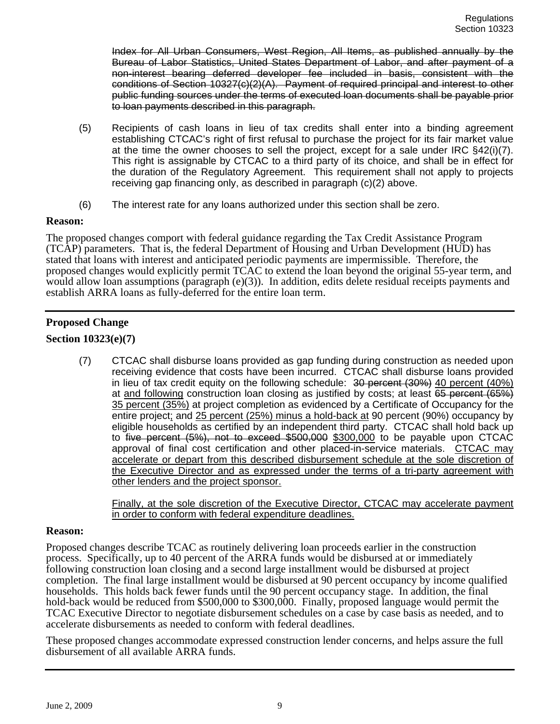Index for All Urban Consumers, West Region, All Items, as published annually by the Bureau of Labor Statistics, United States Department of Labor, and after payment of a non-interest bearing deferred developer fee included in basis, consistent with the conditions of Section 10327(c)(2)(A). Payment of required principal and interest to other public funding sources under the terms of executed loan documents shall be payable prior to loan payments described in this paragraph.

- (5) Recipients of cash loans in lieu of tax credits shall enter into a binding agreement establishing CTCAC's right of first refusal to purchase the project for its fair market value at the time the owner chooses to sell the project, except for a sale under IRC §42(i)(7). This right is assignable by CTCAC to a third party of its choice, and shall be in effect for the duration of the Regulatory Agreement. This requirement shall not apply to projects receiving gap financing only, as described in paragraph (c)(2) above.
- (6) The interest rate for any loans authorized under this section shall be zero.

## **Reason:**

The proposed changes comport with federal guidance regarding the Tax Credit Assistance Program (TCAP) parameters. That is, the federal Department of Housing and Urban Development (HUD) has stated that loans with interest and anticipated periodic payments are impermissible. Therefore, the proposed changes would explicitly permit TCAC to extend the loan beyond the original 55-year term, and would allow loan assumptions (paragraph (e)(3)). In addition, edits delete residual receipts payments and establish ARRA loans as fully-deferred for the entire loan term.

# **Proposed Change**

## **Section 10323(e)(7)**

(7) CTCAC shall disburse loans provided as gap funding during construction as needed upon receiving evidence that costs have been incurred. CTCAC shall disburse loans provided in lieu of tax credit equity on the following schedule: 30 percent (30%) 40 percent (40%) at and following construction loan closing as justified by costs; at least 65 percent (65%) 35 percent (35%) at project completion as evidenced by a Certificate of Occupancy for the entire project; and 25 percent (25%) minus a hold-back at 90 percent (90%) occupancy by eligible households as certified by an independent third party. CTCAC shall hold back up to five percent (5%), not to exceed \$500,000 \$300,000 to be payable upon CTCAC approval of final cost certification and other placed-in-service materials. CTCAC may accelerate or depart from this described disbursement schedule at the sole discretion of the Executive Director and as expressed under the terms of a tri-party agreement with other lenders and the project sponsor.

Finally, at the sole discretion of the Executive Director, CTCAC may accelerate payment in order to conform with federal expenditure deadlines.

#### **Reason:**

Proposed changes describe TCAC as routinely delivering loan proceeds earlier in the construction process. Specifically, up to 40 percent of the ARRA funds would be disbursed at or immediately following construction loan closing and a second large installment would be disbursed at project completion. The final large installment would be disbursed at 90 percent occupancy by income qualified households. This holds back fewer funds until the 90 percent occupancy stage. In addition, the final hold-back would be reduced from \$500,000 to \$300,000. Finally, proposed language would permit the TCAC Executive Director to negotiate disbursement schedules on a case by case basis as needed, and to accelerate disbursements as needed to conform with federal deadlines.

These proposed changes accommodate expressed construction lender concerns, and helps assure the full disbursement of all available ARRA funds.